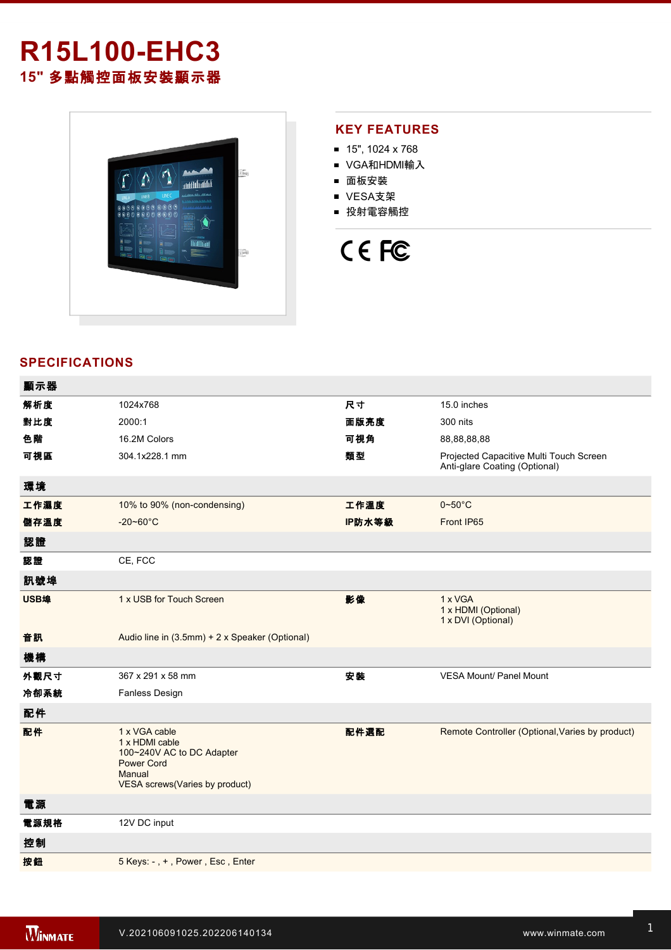# **R15L100EHC3 15"** 多點觸控面板安裝顯示器



### **KEY FEATURES**

- $15"$ , 1024 x 768
- VGA和HDMI輸入
- 面板安裝
- VESA支架
- 投射電容觸控

# CE FC

## **SPECIFICATIONS**

| 顯示器  |                                                                                                                                      |        |                                                                          |
|------|--------------------------------------------------------------------------------------------------------------------------------------|--------|--------------------------------------------------------------------------|
| 解析度  | 1024x768                                                                                                                             | 尺寸     | 15.0 inches                                                              |
| 對比度  | 2000:1                                                                                                                               | 面版亮度   | 300 nits                                                                 |
| 色階   | 16.2M Colors                                                                                                                         | 可視角    | 88,88,88,88                                                              |
| 可視區  | 304.1x228.1 mm                                                                                                                       | 類型     | Projected Capacitive Multi Touch Screen<br>Anti-glare Coating (Optional) |
| 環境   |                                                                                                                                      |        |                                                                          |
| 工作濕度 | 10% to 90% (non-condensing)                                                                                                          | 工作溫度   | $0 - 50$ °C                                                              |
| 儲存溫度 | $-20 - 60^{\circ}$ C                                                                                                                 | IP防水等級 | Front IP65                                                               |
| 認證   |                                                                                                                                      |        |                                                                          |
| 認證   | CE, FCC                                                                                                                              |        |                                                                          |
| 訊號埠  |                                                                                                                                      |        |                                                                          |
| USB埠 | 1 x USB for Touch Screen                                                                                                             | 影像     | 1 x VGA<br>1 x HDMI (Optional)<br>1 x DVI (Optional)                     |
| 音訊   | Audio line in (3.5mm) + 2 x Speaker (Optional)                                                                                       |        |                                                                          |
| 機構   |                                                                                                                                      |        |                                                                          |
| 外觀尺寸 | 367 x 291 x 58 mm                                                                                                                    | 安装     | <b>VESA Mount/ Panel Mount</b>                                           |
| 冷卻系統 | <b>Fanless Design</b>                                                                                                                |        |                                                                          |
| 配件   |                                                                                                                                      |        |                                                                          |
| 配件   | 1 x VGA cable<br>1 x HDMI cable<br>100~240V AC to DC Adapter<br><b>Power Cord</b><br>Manual<br><b>VESA</b> screws(Varies by product) | 配件選配   | Remote Controller (Optional, Varies by product)                          |
| 電源   |                                                                                                                                      |        |                                                                          |
| 電源規格 | 12V DC input                                                                                                                         |        |                                                                          |
| 控制   |                                                                                                                                      |        |                                                                          |
| 按鈕   | 5 Keys: -, +, Power, Esc, Enter                                                                                                      |        |                                                                          |
|      |                                                                                                                                      |        |                                                                          |